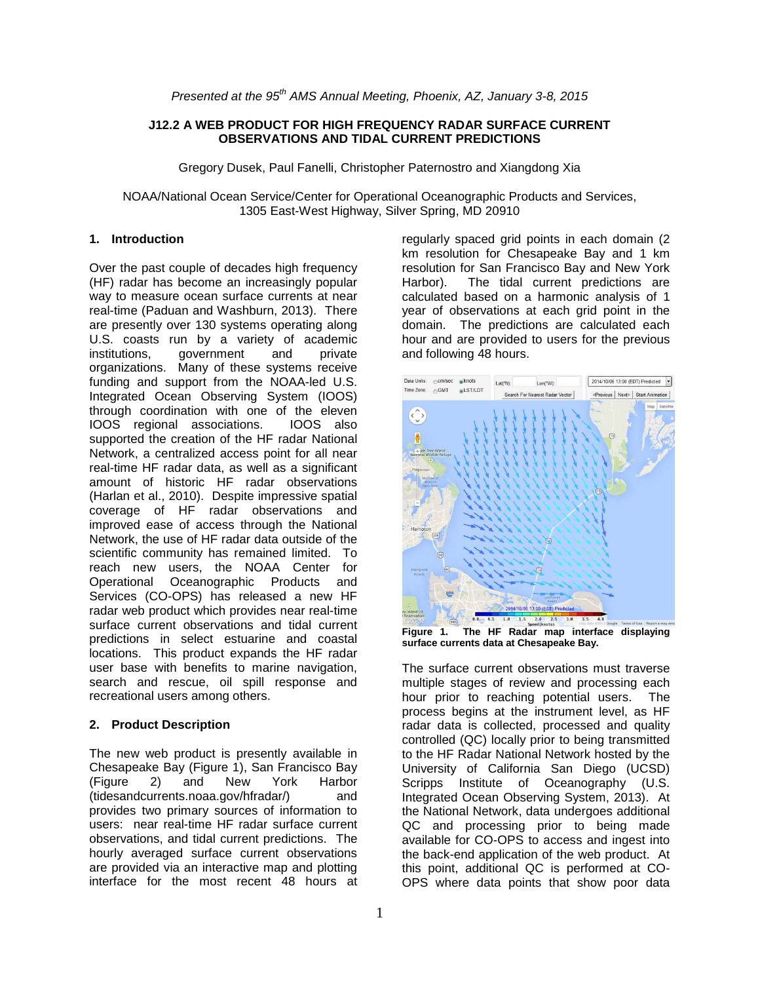### **J12.2 A WEB PRODUCT FOR HIGH FREQUENCY RADAR SURFACE CURRENT OBSERVATIONS AND TIDAL CURRENT PREDICTIONS**

Gregory Dusek, Paul Fanelli, Christopher Paternostro and Xiangdong Xia

NOAA/National Ocean Service/Center for Operational Oceanographic Products and Services, 1305 East-West Highway, Silver Spring, MD 20910

### **1. Introduction**

Over the past couple of decades high frequency (HF) radar has become an increasingly popular way to measure ocean surface currents at near real-time (Paduan and Washburn, 2013). There are presently over 130 systems operating along U.S. coasts run by a variety of academic institutions, government and private organizations. Many of these systems receive funding and support from the NOAA-led U.S. Integrated Ocean Observing System (IOOS) through coordination with one of the eleven IOOS regional associations. IOOS also supported the creation of the HF radar National Network, a centralized access point for all near real-time HF radar data, as well as a significant amount of historic HF radar observations (Harlan et al., 2010). Despite impressive spatial coverage of HF radar observations and improved ease of access through the National Network, the use of HF radar data outside of the scientific community has remained limited. To reach new users, the NOAA Center for Operational Oceanographic Products and Services (CO-OPS) has released a new HF radar web product which provides near real-time surface current observations and tidal current predictions in select estuarine and coastal locations. This product expands the HF radar user base with benefits to marine navigation, search and rescue, oil spill response and recreational users among others.

### **2. Product Description**

The new web product is presently available in Chesapeake Bay (Figure 1), San Francisco Bay (Figure 2) and New York Harbor (tidesandcurrents.noaa.gov/hfradar/) and provides two primary sources of information to users: near real-time HF radar surface current observations, and tidal current predictions. The hourly averaged surface current observations are provided via an interactive map and plotting interface for the most recent 48 hours at

regularly spaced grid points in each domain (2 km resolution for Chesapeake Bay and 1 km resolution for San Francisco Bay and New York Harbor). The tidal current predictions are calculated based on a harmonic analysis of 1 year of observations at each grid point in the domain. The predictions are calculated each hour and are provided to users for the previous and following 48 hours.



**Figure 1. The HF Radar map interface displaying surface currents data at Chesapeake Bay.**

The surface current observations must traverse multiple stages of review and processing each hour prior to reaching potential users. The process begins at the instrument level, as HF radar data is collected, processed and quality controlled (QC) locally prior to being transmitted to the HF Radar National Network hosted by the University of California San Diego (UCSD) Scripps Institute of Oceanography (U.S. Integrated Ocean Observing System, 2013). At the National Network, data undergoes additional QC and processing prior to being made available for CO-OPS to access and ingest into the back-end application of the web product. At this point, additional QC is performed at CO-OPS where data points that show poor data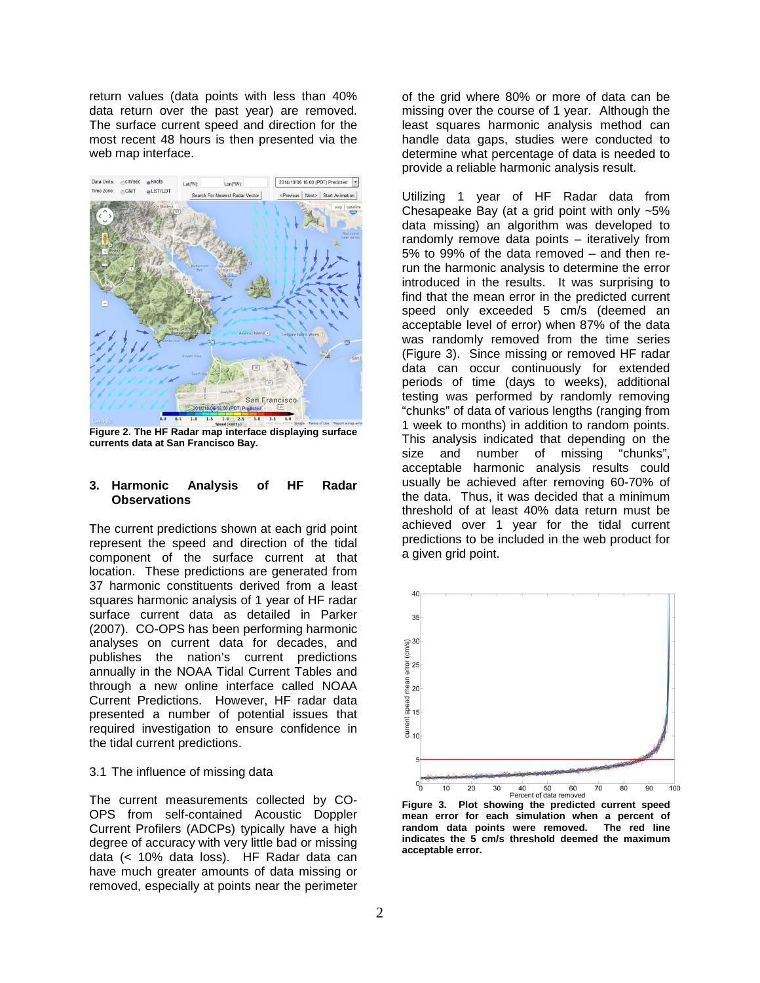return values (data points with less than 40% data return over the past year) are removed. The surface current speed and direction for the most recent 48 hours is then presented via the web map interface.



**Figure 2. The HF Radar map interface displaying surface currents data at San Francisco Bay.** 

#### **3. Harmonic Analysis of HF Radar Observations**

The current predictions shown at each grid point represent the speed and direction of the tidal component of the surface current at that location. These predictions are generated from 37 harmonic constituents derived from a least squares harmonic analysis of 1 year of HF radar surface current data as detailed in Parker (2007). CO-OPS has been performing harmonic analyses on current data for decades, and publishes the nation's current predictions annually in the NOAA Tidal Current Tables and through a new online interface called NOAA Current Predictions. However, HF radar data presented a number of potential issues that required investigation to ensure confidence in the tidal current predictions.

### 3.1 The influence of missing data

The current measurements collected by CO-OPS from self-contained Acoustic Doppler Current Profilers (ADCPs) typically have a high degree of accuracy with very little bad or missing data (< 10% data loss). HF Radar data can have much greater amounts of data missing or removed, especially at points near the perimeter

of the grid where 80% or more of data can be missing over the course of 1 year. Although the least squares harmonic analysis method can handle data gaps, studies were conducted to determine what percentage of data is needed to provide a reliable harmonic analysis result.

Utilizing 1 year of HF Radar data from Chesapeake Bay (at a grid point with only ~5% data missing) an algorithm was developed to randomly remove data points – iteratively from 5% to 99% of the data removed – and then rerun the harmonic analysis to determine the error introduced in the results. It was surprising to find that the mean error in the predicted current speed only exceeded 5 cm/s (deemed an acceptable level of error) when 87% of the data was randomly removed from the time series (Figure 3). Since missing or removed HF radar data can occur continuously for extended periods of time (days to weeks), additional testing was performed by randomly removing "chunks" of data of various lengths (ranging from 1 week to months) in addition to random points. This analysis indicated that depending on the size and number of missing "chunks", size and number of missing acceptable harmonic analysis results could usually be achieved after removing 60-70% of the data. Thus, it was decided that a minimum threshold of at least 40% data return must be achieved over 1 year for the tidal current predictions to be included in the web product for a given grid point.



**Figure 3. Plot showing the predicted current speed mean error for each simulation when a percent of random data points were removed. The red line indicates the 5 cm/s threshold deemed the maximum acceptable error.**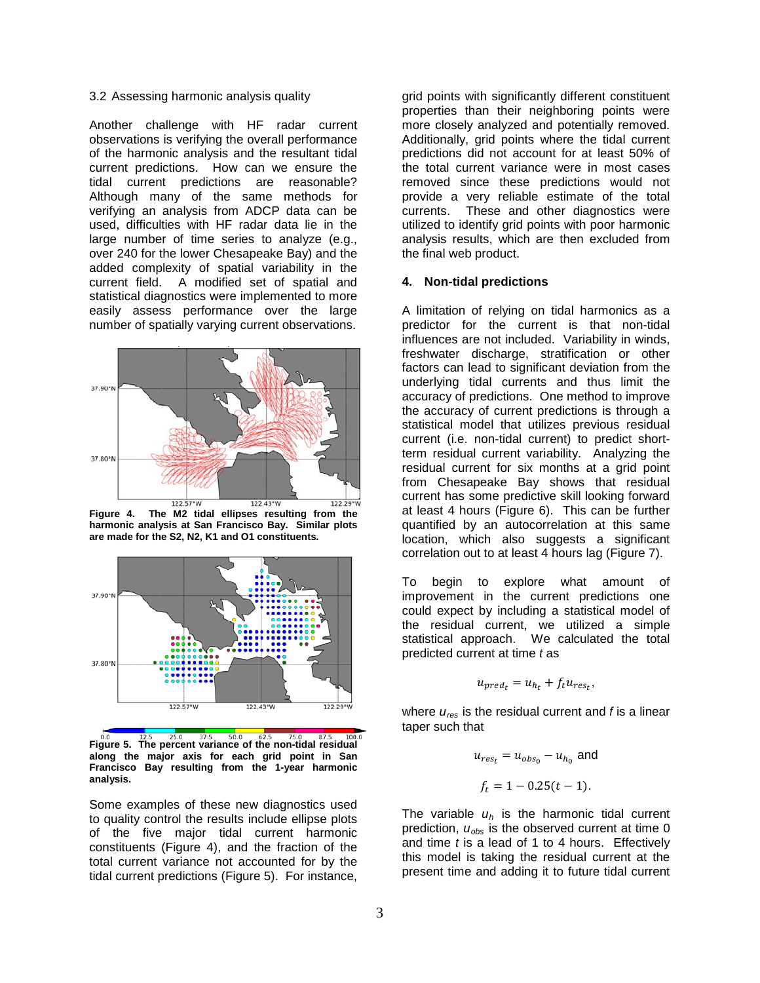### 3.2 Assessing harmonic analysis quality

Another challenge with HF radar current observations is verifying the overall performance of the harmonic analysis and the resultant tidal current predictions. How can we ensure the tidal current predictions are reasonable? Although many of the same methods for verifying an analysis from ADCP data can be used, difficulties with HF radar data lie in the large number of time series to analyze (e.g., over 240 for the lower Chesapeake Bay) and the added complexity of spatial variability in the current field. A modified set of spatial and statistical diagnostics were implemented to more easily assess performance over the large number of spatially varying current observations.



**Figure 4. The M2 tidal ellipses resulting from the harmonic analysis at San Francisco Bay. Similar plots are made for the S2, N2, K1 and O1 constituents.**



 $50.0$  $625$ **Figure 5. The percent variance of the non-tidal residual along the major axis for each grid point in San Francisco Bay resulting from the 1-year harmonic analysis.**

Some examples of these new diagnostics used to quality control the results include ellipse plots of the five major tidal current harmonic constituents (Figure 4), and the fraction of the total current variance not accounted for by the tidal current predictions (Figure 5). For instance,

grid points with significantly different constituent properties than their neighboring points were more closely analyzed and potentially removed. Additionally, grid points where the tidal current predictions did not account for at least 50% of the total current variance were in most cases removed since these predictions would not provide a very reliable estimate of the total currents. These and other diagnostics were utilized to identify grid points with poor harmonic analysis results, which are then excluded from the final web product.

#### **4. Non-tidal predictions**

A limitation of relying on tidal harmonics as a predictor for the current is that non-tidal influences are not included. Variability in winds, freshwater discharge, stratification or other factors can lead to significant deviation from the underlying tidal currents and thus limit the accuracy of predictions. One method to improve the accuracy of current predictions is through a statistical model that utilizes previous residual current (i.e. non-tidal current) to predict shortterm residual current variability. Analyzing the residual current for six months at a grid point from Chesapeake Bay shows that residual current has some predictive skill looking forward at least 4 hours (Figure 6). This can be further quantified by an autocorrelation at this same location, which also suggests a significant correlation out to at least 4 hours lag (Figure 7).

To begin to explore what amount of improvement in the current predictions one could expect by including a statistical model of the residual current, we utilized a simple statistical approach. We calculated the total predicted current at time *t* as

$$
u_{pred_t} = u_{h_t} + f_t u_{res_t},
$$

where *ures* is the residual current and *f* is a linear taper such that

$$
u_{res_t} = u_{obs_0} - u_{h_0}
$$
 and  
 $f_t = 1 - 0.25(t - 1)$ .

The variable *uh* is the harmonic tidal current prediction,  $u_{obs}$  is the observed current at time 0 and time *t* is a lead of 1 to 4 hours. Effectively this model is taking the residual current at the present time and adding it to future tidal current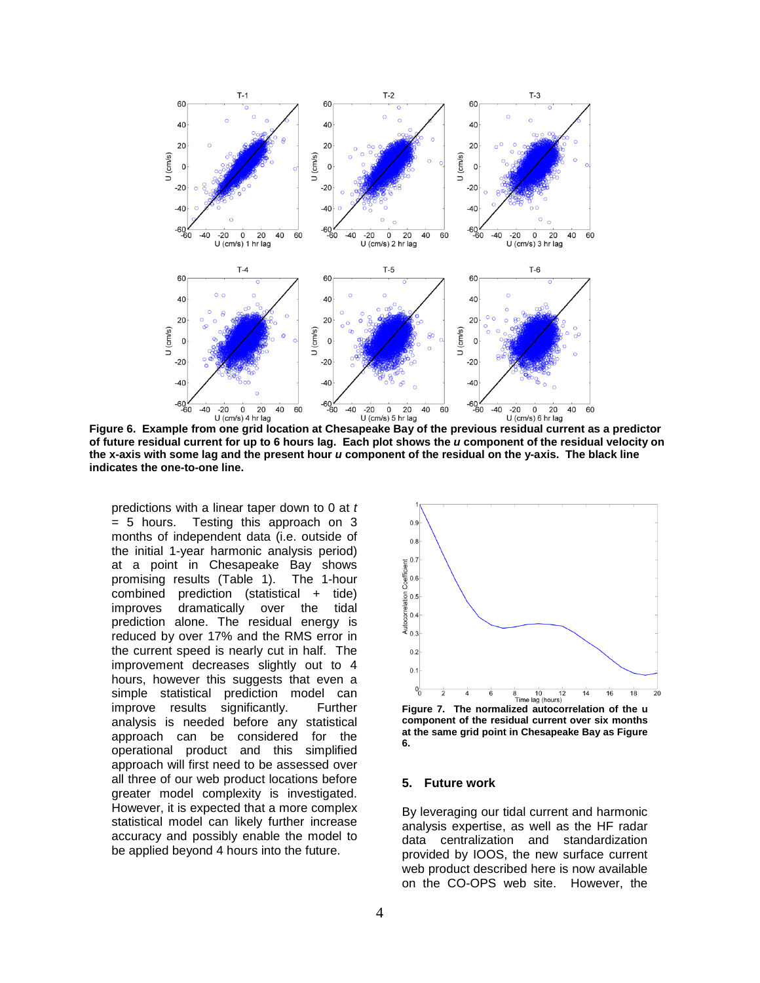

**Figure 6. Example from one grid location at Chesapeake Bay of the previous residual current as a predictor of future residual current for up to 6 hours lag. Each plot shows the** *u* **component of the residual velocity on the x-axis with some lag and the present hour** *u* **component of the residual on the y-axis. The black line indicates the one-to-one line.**

predictions with a linear taper down to 0 at *t*  = 5 hours. Testing this approach on 3 months of independent data (i.e. outside of the initial 1-year harmonic analysis period) at a point in Chesapeake Bay shows promising results (Table 1). The 1-hour combined prediction (statistical + tide) improves dramatically over the tidal prediction alone. The residual energy is reduced by over 17% and the RMS error in the current speed is nearly cut in half. The improvement decreases slightly out to 4 hours, however this suggests that even a simple statistical prediction model can improve results significantly. Further analysis is needed before any statistical approach can be considered for the operational product and this simplified approach will first need to be assessed over all three of our web product locations before greater model complexity is investigated. However, it is expected that a more complex statistical model can likely further increase accuracy and possibly enable the model to be applied beyond 4 hours into the future.



**Figure 7. The normalized autocorrelation of the u component of the residual current over six months at the same grid point in Chesapeake Bay as Figure 6.**

#### **5. Future work**

By leveraging our tidal current and harmonic analysis expertise, as well as the HF radar data centralization and standardization provided by IOOS, the new surface current web product described here is now available on the CO-OPS web site. However, the